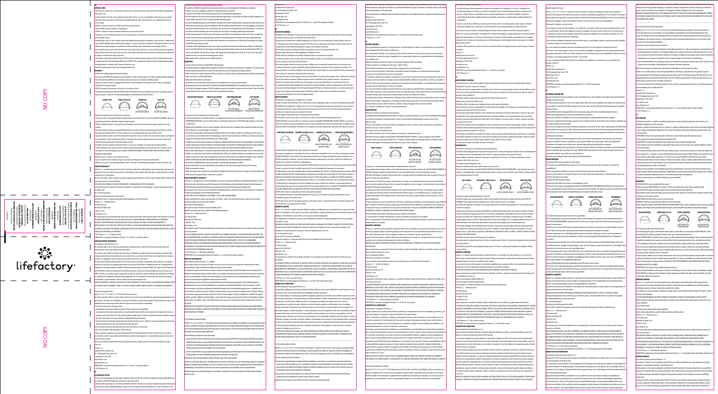GB **GENERAL CARE** efore first use, and a allow time to dry.

- + DO NOT leave children un • The silicone sleeve DOES NOT quarantee against breakage. If cracks or breaks appear in the glass, dispose of bottle imm
- Extreme temperature differences between glass and contents may cause cracking or breaking of glass.<br>- Always check glass for cracks or breakage before each use. Glass breakage can cause burns or cuts to eyes, face and ha
- **DO NOT freeze or boil glass bottle.**
- DO NOT use product in microwave, on stove top, or in any type of oven.
- The straw lid or the flip cap lid ARE NOT FOR USE WITH HOT LIQUIDS. The straw lid and flip cap lid are for cold liquids only. Hot may burn or scald user. See following lid images to help determine which lid you hav

# - Contents should not be left in the container for longer than 24 hours. As soon as possible after each and every use, wash all<br>parts with warm, soapy water. Rinse all parts thoroughly with clean water. Allow all parts to use or storage. • DO NOT use abrasive cleaners or scrubbers since they may dull the finish • Clean carefully to avoid scratching or chipping glass. • DO NOT use bleach or cleaners containing chlorine on any parts of the product. • This product is top-rack dishwasher safe; however, hand washing is recommended to ensure that the are thoroughly cleaned.

• Residual liquids, foods, or other contents may become trapped between product components, such as lid parts, container parts, sleeve, gaskets (flexible band around lid and/or stopper), or straws (if present in the product). Although this product is top-r

- dishwasher safe, hand washing is recommended to ensure that these parts of the product are thoroughly cleaned. • Silicone bottle sleeve does not need to be removed. If you wish to remove the sleeve, it comes off best with warm soapy water. Replace silicone sleeve with warm soapy water. Use caution when taking the silicone sleeve off or replacing it as the glass may
- be slippery to handle when using soapy water. • The container should be periodically cleaned. The best results are obtained using a mixture of water and bicarbonate of soda
- or washing up liquid. Rinse thoroughly afterwards. DO NOT put the stopper/lid on whilst using this cleaning method. Soaking overnight produces excellent results. Always rinse before re-use. • Volumetric measurements (if present) are approximations only.

# WARNING!

• Always test temperature of contents before consuming. caution when consuming hot drinks in the glass bottle as the bottle v water in the bottle before adding hot liquid to temper the glass.

- DO NOT overfill the container: Leave space at top of container for lid, straw (if present), and stopper (if present), to avoid overflow.
- Check periodically to make sure any gasket (flexible band around lid) is present and properly po from passing through lid when lid is closed. Missing, worn or misaligned gasket may cause product to leak.<br>In general, contents should not be left in container for longer than 24 hours. However, the rate at which contents
- on several factors. Certain contents that include, for example, dairy and/or tomato may start to spoil sooner. Proceed with
- caution when using the product with quick spoiling contents. ।<br>If contents are left in container longer than 24 hours, or you suspect spoilage, use caution when opening container.<br>Content spoilage can cause pressure inside container to build, possibly leading to forceful eiection o
- Content spoilage can cause pressure inside container to build, possibly leading to forceful ejection of lid or contents. In such<br>circunstances, before attempting to open container, ENSURE THE OPENING IS POINTED AWAY FROM T
- **DO NOT** use tools or devices to force container to open.
- If you are unable to open container by hand, do not open it and dispose of it at your local waste facility.<br>- DO NOT use to store or carry carbonated drinks or dry ice. This may cause lid/stopper and contents to eject fo

- **LIMITED WARRANTY**<br>Thermos L.L.C. warrants this prod<sup>.</sup> Thermos L.L.C. warrants this product to be free from defects in material or workmanship for one year from date of purchase. This<br>warranty does not cover ordinary wear and tear or color fading, or any condition affected by or improper use or maintenance.
- will, at our option, repair or replace
- receipt by our factory service department.<br>IN NO EVENT WILL THERMOS BE LIABLE FOR INCIDENTAL, CONSEQUENTIAL OR SPECIAL DAMAGES. .<br>Some jurisdictions do not allow the exclusion of incidental, consequential or special damages, so the precedin
- ot apply to you.

#### s a factory guarantee Please do not return this product to the retailer.

- end defective unit or component along with written explanation of defect directly to:
- rmos L.L.C. Warranty Service 355 Thermos Road
- Batesville, MS 38606, USA 1-800-831-9242
- www.thermos.com anty gives you specific legal right THE FOREGOING WARRANTY IS EXCLUSIVE AND IN LIEU OF ALL OTHER WARRANTIES, REPRESENTATIONS OR CONDITIONS .<br>OF QUALITY AND PERFORMANCE, WHETHER WRITTEN, ORAL OR IMPLIED, INCLUDING ANY IMPLIED WARRANTIES OF MERCHANTABILITY OR FITNESS FOR A PARTICULAR PURPOSE. SUCH IMPLIED WARRANTIES, REPRESENTATIONS AND CONDITIONS
- .<br>ARE HEREBY DISCLAIMED. THE REMEDIES STATED HEREIN CONSTITUTE PURCHASER'S EXCLUSIVE REMEDIES AND THERMOS'S EI **LIABILITY FOR ANY BREACH OF WARRANT** © 2019 Thermos, L.L.C. All rights reserved.
- LIFEFACTORY is a registered trademark of Thermos L.L.C. in the U.S. and other countries.

- rranty is given by Thermos L.L.C.
- This warranty applies only to Lifefactory bran purchased from a retail outlet within the European Union. or consumers, the benefits conferred by this warranty are in addition to all rights and remedies provided to co consumer protection laws. This warranty does not exclude, limit, vary or otherwise affect any of your legal rights as a consumer<br>and buyer. Our obligations under this warranty are limited to the terms set out below. We warrant this Lifefactory brand product to be free from defects in material or workmanship under normal use in accordance
- with any user instructions accompanying this product for two years from the date of original purchase (the "warranty period").<br>Nothing in this warranty excludes our liability for defective products under the product liabil ept where this Lifefactory brand product has been purchased by a consumer, all and any liability on our part for any loss of profits, revenues, use, savings, contracts, opportunity, goodwill or any indirect, special, incidental, consequential loss or damage are extent permitted by applicable law. Some jurisdictions do not allow the exclusion of incidental, we are the exclusion of incidental, we are the exclusion of incidental, we are the social, we are the exclusion of incide
- consequential or special damages, so the preceding exclusion may not apply to you. WITHIN THE WARRANTY PERIOD YOU MAY RETURN A DEFECTIVE PRODUCT TO THE RETAILER. PLEASE RETAIN YOUR ORIGINAL PROOF OF PURCHASE AND THIS WARRANTY SHEET AS YOU MUST PRODUCE THEM IN ORDER TO MAKE A CLAIM UNDER THIS WARRANTY. ------------------------------------------------------------------------------------------------------------------------------------------

- For products bought in France. Articles L 211-4, L 211-5 and L 211-12 of the French Consumer Code: The seller is required to deliver a product which conforms to the contract and is held liable for any lack of conformity which exists upon delivery. The seller is also held liable for any lack of conformity caused by the packaging or the assembly instructions, or the<br>installation if he assumed responsibility therefor or had it carried out under his respo
- 
- conform to the contract, the product must:
- 1. Be suitable for the purpose usually associated with such a product and, if applicable:
- correspond to the description given by the seller and have the features that the seller presented to the buyer in the form of a<br>sample or model; have the features that a buyer might reasonably expect it to have considering
- the seller, the producer or his representative, including advertising and labeling; 2. Or have the features defined by mutual agreement between the parties or be suitable for any special requirement of the b
- which was made known to the seller and which the latter agreed to.
- resulting from lack of conformity lapses five years after delivery of the produ Article 1641 and article 1648, paragraph 1 of the Civil Code:
- A seller is bound to a warranty on account of the latent defects of the thing sold which render it unfit for the use for which i was intended, or which so impair that use that the buyer would not have acquired it, or would only have given a lesser price for it, had he known of them.
- The action resulting from latent defect

# of the vice."<br><mark>Thermos L.L.C.</mark>

- Canadian Thermos Products Inc 475 N. Martingale Road, Suite 1100
- s<br>Chaumburg, IL 60173 USA
- www.thermos.com
- www.lifefactory.com LIFEFACTORY is a registered trademark of Thermos L.L.C. in the U.S. and other countries.
- ©2019 Thermos L.L.C.
- DE .<br>LLGEMEINE PFLEGE

• Der Inhalt sollte nicht länger als 24 Stunden im Behälter verbleiben. Waschen Sie so bald wie möglich nach jedem Gebrauch alle .<br>Teile mit einer warmen Spülmittellösung ab. Spülen Sie alle Teile gründlich mit klarem Wasser ab. Lassen Sie alle Teile vor de

• Zwischen Produktkomponenten wie Deckelteilen, Behälterteilen, Flasche und Manschette, Dichtungen (flexibles Band um den Deckel und/oder Verschluss) und/oder Strohhalmen (falls im Produkt vorhanden) können sich Restflüssigkeiten, Lebensmittel oder andere Inhalte festsetzen. Dieses Produkt kann zwar im oberen Fach der Spülmaschine gereinigt werden, es wird jedoch ein Spülen von Hand empfohlen, um sicherzustellen, dass diese Teile des Produkts gründlich gereinigt werden.<br>• Die Flaschenmanschette aus Silikon muss nicht entfernt werden. Wenn Sie die Manschette entfernen möchten, errei dies am besten mit warmer Spülmittellösung. Tauschen Sie die Silikonmanschette mithilfe von warmer Spülmittellösung. eien Sie vorsichtig, wenn Sie die Silikonmanschette abnehmen oder austauschen, da das Glas bei Verwendung v

• Behälter sollte regelmäßig gereinigt werden. Dazu verwenden Sie am besten eine Mischung aus Wasser und Backpul oder einen handelsüblichen Geschirrreiniger. Anschließend gründlich abspülen. Setzen Sie den Verschluss/Deckel NICHT auf,<br>wenn Sie den Behälter auf diese Weise reinigen. Hartnäckige Verschmutzungen lösen sich leicht, wenn

- Die Silikonmanschette ist KEINE Garantie gegen Bruch. Wenn Risse oder Brüche im Glas auftreten, entsorgen Sie die Flasche sofort.<br>- Extreme Temperaturunterschiede zwischen Glas und Inhalt können zu Rissbildung oder Glasb Prüfen Sie das Glas vor jedem Gebrauch auf Risse oder Brüche. Glasbruch kann zu Verbrennungen oder Sch

MANUFACTURERS WARRANTY

weichen lassen. Vor erneuter Verwendung immer spülen • Volumenmaße (falls vorhanden) sind nur Näherungswerte.

• Vor Genuss immer die Temperatur des Getränks prüfen. • Seien Sie vorsichtig, wenn Sie heiße Getränke in der Glasflasche konsumieren, da sich die Flasche heiß anfühlt (ERBRENNUNGSGEFAHR). Lassen Sie warmes Wasser in die Flasche laufen, bevor Sie heiße Flüssigkeit zugeben, um das Glas

• Überprüfen Sie regelmäßig, ob die Dichtungen (flexibles Band um den Deckel) vorhanden und richtig positioniert sind, um zu verhindern, dass der Inhalt durch den Deckel gelangt, wenn der Deckel geschlossen ist. Fehlende, verschlissene oder falsch ausgerichtete Dichtungen können dazu führen, dass Inhalt ausläuft.<br>• Im Allgemeinen sollte der Inhalt nicht länger als 24 Stunden in Behältern aufbewahrt werden. Die Geschwindigkeit, mit der der Inhalt verdirbt, hängt jedoch von mehreren Faktoren ab. Bestimmte Inhalte, die beispielsweise Milchprodukte und/oder Tomaten enthalten, , können früher verderben. Seien Sie vorsichtig, wenn Sie das Produkt mit schnell verderbenden Inhalten verwenden.<br>• Wenn sich der Inhalt länger als 24 Stunden im Behälter befindet oder Verdacht auf Verderb besteht, seien ers vorsichtig. Durch das Verderben von Inhalten kann sich Druck im Behälter aufbauen, was möglicherweise zu ein starken Abstoßen des Deckels oder des Inhalts führt. Stellen Sie in diesem Fall vor dem Öffnen des Behälters sicher, DASS DIE ÖFFNUNG VOM BENUTZER ODER VON ANDEREN PERSONEN WEGZEIGT, UM VERLETZUNGEN ZU VERMEIDEN. • Verwenden Sie KEINE Werkzeuge oder Vorrichtungen, um den Behälter gewaltsam zu öffnen. Wenn Sie den Behälter nicht von Hand öffnen können, öffnen Sie ihn nicht und entsorgen Sie ihn in Ihre

L.L.C. garantiert für ein Jahr ab Kaufdatum, dass dieses Produkt frei von Material- und Verar Garantie erstreckt sich nicht auf normale Abnutzung oder Farbverblassung, oder irgendeinen Zustand, der durch Missbrauch, Vernachlässigung, Veränderung, Unfall oder unsachgemäßen Gebrauch oder Wartung beeinträchtigt wird. Wir reparieren oder ersetzen nach unserer Wahl alle Produktkomponenten, die dieser Garantie nicht entsprechen, innerhalb von 30 Tagen nach Eingang bei unserem Werkskundendienst. LIFEFACTORY HAFTET IN KEINEM FALL FÜR NEBEN-, FOLGE- ODER SONDERSCHÄDEN.

e<br>Einige Gerichtsbarkeiten erlauben den Ausschluss von Neben-, Folge- oder Sonderschäden nicht, sodass der vor

Ausschluss möglicherweise nicht auf Sie zutrifft. Dies ist eine Herstellergarantie. Bitte geben Sie dieses Produkt nicht an den Händler zurück. Defektes Gerät oder Bauteil mit schriftlicher Fehlererklärung direkt a

DIE VORSTEHENDE GARANTIE IST EXKLUSIV UND ERSETZT ALLE ANDEREN GARANTIEN, ZUSICHERUNGEN ODER QUALITÄTS- UND L<br>LEISTUNGSBEDINGUNGEN, OB SCHRIFTLICH, MÜNDLICH ODER STILLSCHWEIGEND, EINSCHLIESSLICH ALLER STILLSCHWEIGEND GARANTIEN DER MARKTGÄNGIGKEIT ODER EIGNUNG FÜR EINEN BESTIMMTEN ZWECK. SOLCHE STILLSCHWEIGENDEN GEWÄHRLEISTUNGEN, ZUSICHERUNGEN UND BEDINGUNGEN WERDEN HIERMIT AUSGESCHLOSSEN. DIE HIERIN GENANNTEN RECHTSBEHELFE STELLEN DIE AUSSCHLIESSLICHEN RECHTSBEHELFE DES KÄUFERS UND DIE GESAMTE HAFTUNG VON THERMOS FÜ

**ERSTELLERGARANTIE** Diese Garantie wird von Thermos L.L.C. gewährt.

Diese Garantie gilt nur für Lifefactory-Produkte, die von uns oder in Lizenz von uns hergestellt wurden und die in einem Einzelhandelsgeschäft innerhalb der Europäischen Union erworben wurden.<br>Für Verbraucher gelten die Vorteile dieser Garantie zusätzlich zu allen Rechten und Rechtsbehelfen, die den Verbrauchern im .<br>Innen des Verbraucherschutzes gewährt werden. Diese Garantie schließt Ihre gesetzlichen Rechte als Verbraucher und Kä nicht aus und beschränkt, verändert oder beeinträchtigt sie anderweitig nicht. Unsere Verpflichtungen im Rahmen dieser Garantie sind auf die unten aufgeführten Bedingungen beschränkt. Wir garantieren, dass dieses Lifefactory-Markenprodukt bei normalem Gebrauch gemäß der dem Produkt beiliegenden auchsanweisung zwei Jahre ab Kaufdatum frei von Material- und Verarbeitungsfehlern ist (die "Garantiezeit"). Nichts dieser Garantie schließt unsere Haftung für fehlerhafte Produkte nach dem Produkthaftungsgesetz aus. Vorbehaltlich de Vorstehenden und außer, wenn dieses Lifefactory-Markenprodukt von einem Verbraucher gekauft wurde, ist jegliche Haftung erseits für entgangenen Gewinn, Einnahmen, Gebrauch, Einsparungen, Verträge, Gelegenheiten, Goodwill oder jegliche .<br>Indirekte, spezielle, zufällige oder Folgeschäden, soweit gesetzlich zulässig, ausgeschlossen. Einige Gerichtsbarkeiten erlaube den Ausschluss von Neben-, Folge- oder Sonderschäden nicht, sodass der vorstehende Ausschluss möglicherweise nicht auf Sie zutrifft. INNERHALB DER GARANTIEZEIT KÖNNEN SIE EIN DEFEKTES PRODUKT AN DEN HÄNDLER ZURÜCKSENDEN. BITTE BEWAHREN SIE IHREN ORIGINAL-KAUFBELEG UND DIESES GARANTIEBLATT AUF, DA SIE DIESE VORLEGEN MÜSSEN, UM EINEN GARANTIEANSPRUG

GELTEND MACHEN ZU KÖNNEN.

n werden.

ankreich gekaufte Produkte .<br><mark>Artikel L 211-4, L 211-5 und L 211-12 des</mark>

zu liefern und haftet für etwaige Vertragswidrigkeiten bei der Lieferung. Der Verkäufer haftet auch für Mängel, die durch die Verpackung oder die Zusammenbauanleitung oder den Zusammenbau verursacht werden, wenn er die Verantwortung dafür übernommen hat od

diese unter seiner Verantwortung ausführen ließ. Um dem Vertrag zu entsprechen, muss das Produkt:

ung und Kennzeichnung, vernünftigerweise erwarten könnte

# • Vor der ersten Verwendung und nach jedem Gebrauch waschen Sie alle Teile so bald wie möglich mit warmer Spülmittellösung ab. Spülen Sie alle Teile gründlich ab, und lassen Sie alles gut trocknen.

LIFEFACTORY ist eine eingetragene Marke von Thermos L.L.C. in den USA und an © 2019 Thermos L.L.C.

• Avant la première utilisation et le plus tôt possible après chaque utilisation, laver tous les composants avec de l'eau chaude nneuse. Bien rincer tous les composants et les laisser sécher.

• Verwenden Sie für KEIN Teil des Produkts Bleichmittel oder chlorhaltige Reinigungsmittel. • Dieses Produkt kann im oberen Fach der Spülmaschine gereinigt werden, es wird jedoch ein Spülen von Hand empfohlen, um sicherzustellen, dass diese Teile des Produkts gründlich gereinigt werden.

> dans de l'eau chaude savonneuse. Replacer la gaine en silicone en utilisant de l'eau chaude savonneuse. Faire preuve de en retirant la gaine en silicone ou en la replaçant, car le verre peut être glissant à cause de l'eau savonneus

- Le contenant doit être lavé périodiquement. Pour obtenir les meilleurs résultats, utiliser un mélange d'eau et de bicarbonate<br>de soude ou de détergent liquide. Bien rincer après le lavage. NE PAS laisser le bouchon/couve lavage. Laisser tremper une nuit entière donne d'excellents résultats. Toujours rincer avant d'utiliser de nouveau.

# iques (s'il y a lieu) sont approximatives

- .<br>• Qaine en silicone NE prévient PAS les bris. Si des fissures ou des bris apparaissent dans le verre, jeter imm • Des différences de température extrêmes entre le verre et le contenu peuvent provoquer des fissures dans le verre ou le briser. • Avant chaque utilisation, toujours vérifier la présence de fissures ou de bris sur le verre. Le bris du verre peut entraîner des
- brûlures ou des coupures aux yeux, au visage et aux mains.
- 

- NE PAS congeler la bouteille de verre ni la mettre dans l'eau bouillante.<br>- NE PAS mettre au four à micro-ondes, sur le feu d'une cuisinière ou à l'intérieur de tout autre type de four<br>- NE PAS UTILISER le couvercle à pa lle et le couvercle à capuchon rabattable doivent être utilisés uniquement pour boire des liquides froids. Les liquides cha aient brûler ou ébouillanter l'utilisateur. Voir les images de couvercle suivantes pour déterminer votre type de couverc<br>.

WARNUNG!

• Lassen Sie Kinder mit diesem Produkt NICHT unbeaufsichtigt.

• Faire preuve de prudence pour consommer des boissons chaudes dans la bouteille en verre, car celle-ci sera chaude au toucher (RISQUE DE BRÛLURE). Faire couler de l'eau chaude dans la bouteille avant d'ajouter du liquide chaud pour tempérer le verr • NE PAS trop remplir le contenant : prévoir de l'espace au haut du contenant pour le couvercle, la paille (le cas échéant) et le .<br>Ichon (le cas échéant), afin d'éviter les débordements.

Augen, des Gesichts und der Hände führen. • Glasflasche NICHT einfrieren oder kochen.

• Verwenden Sie das Produkt NICHT auf dem Herd, in einer Mikrowelle oder in einem anderen Ofen. • Strohhalmdeckel und Flip-Deckel NICHT FÜR HEISSE FLÜSSIGKEITEN VERWENDEN. Der Strohhalmdeckel und Flip-Deckel sind nur für kalte Flüssigkeiten geeignet. Heiße Flüssigkeiten können den Anwender verbrennen oder verbrühen. Sehen Sie sich die

zu temperieren.

- S'assurer périodiquement que les joints d'étanchéité (bande flexible autour du couvercle) sont bien en place pour éviter les fuites<br>| lorsque le couvercle est fermé. Le produit risque de fuir si le joint d'étanchéité est · En règle générale, ne pas laisser d'aliments dans le contenant pendant plus de 24 heures. Le délai de péremption du contenu déper toutefois de plusieurs facteurs. Certains aliments qui contiennent, par exemple, des produits laitiers et/ou des tomates peuvent se<br>détériorer plus rapidement. Faire preuve de prudence lorsque le contenu du produit est sus ntenu reste dans le contenant pendant plus de 24 heures, ou s'il semble se détériorer, ouvrir le contenant avec pru La détérioration du contenu peut créer une accumulation de pression à l'intérieur du contenant, ce qui pourrait causer une éjection brusque du couvercle ou du contenu. Dans un tel cas, avant de tenter d'ouvrir le contenant, S'ASSURER QUE L'OUVERTURE n'est pas de la contraste de la contraste de la contraste de la contraste de la contraste de la contraste de l<br>T PAS ORIENTÉE VERS L'UTILISATEUR OU VERS TOUTE AUTRE PERSONNE POUR ÉVITER LES BLESSURES. • NE PAS utiliser d'outils ni d'appareils pour forcer l'ouverture du contenant. • S'il est impossible d'ouvrir le contenant manuellement, ne pas l'ouvrir, et le mettre au rebut par l'intermédiaire de votre estallation de gestion des déchets locale. • NE PAS utiliser pour conserver des boissons éjectés avec force, ou il pourrait y avoir une fuite. .<br>GARANTIE LIMITÉE Thermos L.L.C. garantit ce produit contre tout défaut de matériau ou de fabrication pour une période d'un an à partir de la date<br>d'achat. Cette garantie ne couvre pas l'usure normale, la décoloration, ni quelque condition négligence, d'une altération, d'un accident, ou d'un usage ou entretien inappropriés.

.<br>Nous remplacerons ou réparerons, à notre gré, tout composant non conforme à la présent s<br>Ation à l'usine --------------------<br>IMOS NE POURRA EN AUCUN CAS ÊTRE TENUE RESPONSABLE DE DOMMAGES ACCESSOIRES, CONSÉCI

(falls vorhanden), um ein Überlaufen zu vermeiden.

- 
- Cette garantie s'applique uniquement aux produits de marque Lifefactory que nous avons fabriqués ou pour lesquels nous avons octroyé une licence, et qui ont été achetés chez un détaillant de l'Union européenne. consommateurs, les avantages que confère cette garantie s'ajoutent à tous les droits e

Abfallentsorgungseinrichtung.

EINGESCHRÄNKTE GARANTIE

ns ce produit de marque Lifefactory contre tout défaut de matériau ou de fabrication, dans des condition males d'utilisation conformément aux instructions fournies avec le produit, pour une période de deux ans à compter de la late d'achat originale (« période de garantie »). Aucune disposition de la présente garantie n'exclut notre responsabilité .<br>duits défectueux en vertu du droit de la responsabilité du fait des produits. Sous réserve de ce qui précède et sauf si le produit de marque Lifefactory a été acheté par un consommateur, notre responsabilité à l'égard de la perte de profits, de revenus, l<br>d'utilisation, d'épargne, de contrats, d'occasions d'affaires, d'achalandage ou de toute soire ou consécutif est exclue dans toute la mesure permise par la loi en vigueur. Certains territoires interdisent l'applicatio quant aux dommages accessoires, consécutifs ou particuliers. Par conséquent, il est possible que les e ci-dessus ne s'appliquent pas à votre cas. AU COURS DE LA PÉRIODE DE GARANTIE, VOUS POUVEZ RETOURNER UN PRODUIT DÉFECTUEUX AU DÉTAILLANT. VEUILLEZ CONSERVER VOTRE PREUVE D'ACHAT ORIGINALE AINSI QUE LA PRÉSENTE GARANTIE, CAR VOUS DEVREZ LES PRÉSENTER POUR

Pour être conforme au contrat, le bien doit : n in Etre propre à l'usage habituellement attendies

• Verwenden Sie KEINE Scheuermittel oder kratzenden Bürsten, um ein Abstumpfen der Oberfläche zu verhindern. • Reinigen Sie das Glas sorgfältig, um Kratzer oder Absplitterungen zu vermeiden. Thermos L.L.C. Canadian Thermos Products Inc. 475 N. Martingale Road, Suite 1100

> vendeur et posséder les qualités que celui-ci a présentées à l'acheteur sous forme d'échantillon ou de modèle; présenter les qualités r'un acheteur peut légitimement attendre eu égard aux déclarations publiques faites par le vendeur, par le pro<br>Unité

tion du consommateur. Cette garantie n'exclut, ne limite, ne modifie ou n'affecte autrement aucun de vos droits légaux à titre teur et d'acheteur. Nos obligations au titre de cette garantie sont limitées aux conditions énoncées ci-dessou<br>.

recur peut regramment dans la publicité ou l'étiquetag<br>ant notamment dans la publicité ou l'étiquetag .<br>2. Ou présenter les caractéristiques définies d'un commun accord par les pa l'acheteur, porté à la connaissance du vendeur et que ce dernier a accepté. Tout droit de recours contre une non-conformité est échu cinq ans après la livraison du produit.

.<br>Jes L 211-4, L 211-5 et L 211-12 du Code de la consommation : Le vendeur est ter

produits achetés en France.

Thermos L.L.C. – Warranty Service 355 Thermos Road Batesville, MS 38606, USA 1-800-831-9242 w.thermos.com e Garantie gewährt Ihnen zu Provinz variieren.

ermos L.L.C. anadian Thermos Products I 475 N. Martingale Road, Suite 1100 aumburg, IL 60173 USA www.thermos.com www.lifefactory.com

• No se deben dejar contenidos en el recipiente por más de 24 horas. Después de cada uso, lave tan pronto como sea posible .<br>todas las piezas con agua tibia y jabón. Enjuáguelas bien con agua limpia. Déjelas secar completamente antes de gu

DIE VERLETZUNG DER GEWÄHRLEISTUNG DAR. © 2019 Thermos, L.L.C. Alle Rechte vorbehalten.

LIFEFACTORY ist eine eingetragene Marke von Thermos L.L.C. in den USA und anderen Ländern.

en Bilder mit Deckeln an, um festzustellen, welchen Deckel Sie haben:

 $\bigoplus$ 

.<br>• Manga de silicona NO garantiza que la botella no se rompa. Si el vidrio tiene grietas o roturas, deseche la bote • Las diferencias extremas de temperatura entre el vidrio y el contenido de la botella pueden ocasionar que el vidrio se

• Este producto NO debe usarse en el microondas, en la estufa ni en ningún tipo de horno. • NO UTILICE la tapa con pajilla ni la tapa abatible PARA BEBER LÍQUIDOS CALIENTES. La tapa con pajilla y la tapa abatible lamente deben usarse para beber líquidos fríos. Los líquidos calientes pueden ocasionar quemaduras o escaldar al usuari

TOCARLA). Enjuague la botella con agua tibia antes de servir un líquido caliente en ella, para atemperar el vidrio. • NO rellene demasiado el recipiente: Deje un espacio libre en la parte superior del recipiente para la tapa, la pajilla (si la hay

• Para evitar que el contenido se derrame cuando la tapa esté cerrada, revise periódicamente que las juntas (la banda flexible que se encuentra alrededor del tapa) estén en su lugar. Si la arandela no está en su lugar, o si está deteriorada o mal colocad

• En términos generales, evite almacenar contenidos en el recipiente durante más de 24 horas. Sin embargo, tenga en cuenta que el tiempo de descomposición del contenido depende de diversos factores. Si el contenido incluye, por ejemplo, lácteos o<br>tomate, puede empezar a descomponerse antes. Cuando utilice este producto, tenga cuidado con el co

- Si deja contenido en el recipiente durante más de 24 horas, o sospecha que el contenido ya está descompuesto, tenga cuidado al<br>abrir el recipiente. El contenido echado a perder puede crear presión dentro del recipiente, con fuerza de la tapa y el contenido. En este caso, antes de intentar abrir el recipiente, ASEGÚRESE DE ABRIRLO EN DIRECCIÓN CONTRARIA AL USUARIO O CUALQUIER OTRA PERSONA PARA EVITAR LESIONES.

• NO utilice ningún instrumento o dispositivo para forzar la apertura del recipiente. • Si no puede abrir el recipiente manualmente, no lo abra y deséchelo en el basurero de su localida<br>puede abrir el recipiente manualmente, no lo abra y deséchelo en el basurero de su localida • NO lo use para guardar o llevar bebidas carbonatadas ni hielo seco. Esto puede provocar derrames o la pr

-------------------------------------------------------------------------------------------------------------------------------------------

.<br>Thermos L.L.C. garantiza que este producto está libre de defectos en los materiales o e la fecha original de compra. La presente garantía no cubre el desgaste normal ni la pérdida de las propiedades de color, r fallas o daños causados por uso excesivo, negligencia, alteraciones, accidentes o mal uso o mantenimiento.

Nosotros decidiremos reparar o cambiar cualquier pieza del producto que no cumpla con esta garantía dentro de los 30 días<br>posteriores a que se reciba en el departamento de servicio de la fábrica. THERMOS NO SE HARÁ RESPONSABLE POR DAÑOS Y PERJUICIOS INCIDENTALES, INDIRECTOS O ESPECIALES BAJO NINGUNA

terior podría no aplicarse en su caso. Ésta es una garantía de fábrica. No devuelva este producto al vendedor.

hermos L.L.C. – Servicio de Garantía 355 Thermos Road Batesville, MS 38606, EE. UU. 1-800-831-9242 www.thermos.com

.<br>Esta garantía le da derechos legales específicos y es posible que también tenga otros derechos que cambien de un estado o de una provincia a otra. LA GARANTÍA ANTERIOR ES EXCLUSIVA Y PREVALECE SOBRE CUALQUIER OTRA GARANTÍA, DECLARACIÓN O CONDICIÓN DE CALIDAD Y

RENDIMIENTO, YA SEA ESCRITA, ORAL O IMPLÍCITA, INCLUYENDO CUALQUIER GARANTÍA DE COMERCIALIZACIÓN O ADECUACIÓN PARA UN FIN EN PARTICULAR. TALES GARANTÍAS, DECLARACIONES Y CONDICIONES IMPLÍCITAS SE EXCLUYEN POR MEDIO DE LA PRESENTE. .<br>LS COMPENSACIONES ESTABLECIDAS EN LA PRESENTE CONSTITUYEN LAS COMPENSACIONES EXCLUSIVAS DEL COMPRADOR YEN LA OBLIGACIÓN TOTAL DE THERMOS EN RELACIÓN CON CUALQUIER INCUMPLIMIENTO DE LA GARANTÍA

GARANTÍA DEL FABRICANTE ntía es otorgada por Thermos L.L.

2. oder die von den Parteien im gegenseitigen Einvernehmen festgelegten Eigenschaften haben oder für eine besondere Anforderung des Käufers geeignet sein, die dem Verkäufer mitgeteilt wurde und die dieser vereinbart hat. ,<br>Mariakeit verjähren fünf Jahre nach Lieferung des Produkt Artikel 1641 und Artikel 1648, Absatz 1 des Bürgerlichen Gesetzbuches: Ein Verkäufer ist an eine Gew Mängel der verkauften Sachen verkauften Sachen der verkanden der verkauften Sachen der verkauften Sache gebunden, die sie für den Gebrauch, für den sie bestimmt war, ungeeignet mach iträchtigen, dass der Käufer sie nicht oder nur zu einem geringeren Preis erworben hätte, wenn er sie gekannt hätte Die Klage wegen eines versteckten Mangels muss vom Käufer "innerhalb einer Frist von zwei Jahren nach Entdeckung des Mangels"

.<br>Für den mit einem solchen Produkt üblichen Zweck geeignet sein und, falls zutreffend, der Beschreibung des Verkäuf und die Merkmale aufweisen, die der Verkäufer dem Käufer in Form eines Musters oder Modells vorlegt; die Merkmale aufweisen, die ein Käufer unter Berücksichtigung der öffentlichen Äußerungen des Verkäufers, des Herstellers oder sein<br>In Käufer unter Berücksichtigung der öffentlichen Äußerungen des Verkäufers, des Herstellers oder sein

perjuicio indirecto, especial, incidental o consiguiente están excluidas en la medida en que lo permita la ley vigente. Algunas .<br>Isdicciones no permiten la exclusión de los daños y periuicios incidentales, indirectos o especiales, así que la exclusión

Schaumburg, IL 60173

# www.thermos.com www.lifefactory.com

podría no aplicarse en su caso.<br>PUEDE DEVOLVER UN PRODUCTO DEFECTUOSO AL VENDEDOR MINORISTA DENTRO DEL PERÍODO DE GARANTÍA. CONSERVE SU PROBANTE DE COMPRA ORIGINAL Y ESTA GARANTÍA, PUES DEBERÁ PRESENTARLOS PARA PODER HACER VÁLIDA LA GARANT -------------------------------------------------------------------------------------------------------------------------------------------

Articulos L 211-4, L 211-5 y L 211-12 del Código francés del Consumidor: El vendedor está obligado a ofrecer un producto que se<br>apegue a lo establecido en el contrato y será responsable de cualquire falta de cumplimiento q nblado, o con la instalación, si asume la responsabilidad al respecto o si esta se llevó a cabo bajo su responsabilida

FR

nächsten Verwendung oder Lagerung vollständig trocknen.

hittellösung rutschig sein kann.

## ENTRETIEN GÉNÉRAL

Para cumplir el contrato, el producto debe: 1. Ser adecuado para los fines generalmente asociados con un producto de su categoría y, si es el caso: corresponder a la descripción ofrecida por el vendedor y presentar las características que el vendedor haya presentado al comprador como<br>muestra o modelo; tener las características que un comprador pudiera esperar, en términos razonables, t ideración las declaraciones públicas hechas por el vendedor, el productor o su representante, incluida la publicidad y el etiquetado;  $2.0$  tener las características definidas por mutuo acuerdo entre las partes o ser adecuado para cumplir cualq especial del comprador que se haya dado a conocer al vendedor y que este haya afirmado que cubría el producto. .<br>Ción que resulte por la falta de conformidad expira cinco años después a partir de la fecha de entrega del producto .<br>Artículo 1641 y artículo 1648, párrafo 1 del Código Civil: El vendedor está obligado a cumplir la garantía en virtud de los de tos de f latentes del objeto vendido y que lo hacen inadecuado para el uso para el cual fue diseñado, o que impiden que el comprador pueda usarlo de ese modo, y que representan que no lo habría adquirido, o habría pagado un precio más bajo por él, si hubier sabido de tales defectos. El comprador debe presentar el problema".<br><mark>T</mark>hermos L.L.C. Canadian Thermos Products In 475 N. Martingale Road, Suite 1100 Schaumburg, IL 60173 USA<br>www.thermos.com www.lifefactory.com LIFEFACTORY es una marca registrada de Thermos L.L.C. en EE. UU. y otros países. © 2019 Thermos L.L.C. CA MANTENIMENT GENERAL • Abans del primer ús i tant aviat com pugueu després de cada utilització, renteu totes les peces amb aigua tèbia sabonosa. Esbandiu totes les peces i deixeu que s'assequin. • No deixeu cap mena de contingut dins el contenidor més de 24 hores. Tant aviat com pugueu després de cada utilització, renteu tes les peces amb aiqua tèbia sabonosa. Esbandiu totes les peces amb aiqua neta. Espereu-vos que tot estiqui sec abans d guardar o tornar a utilitzar-ho. • NO utilitzeu fregalls o raspalls abrasius perquè podrien ratllar l'acabat de les peces. • Netegeu amb cura per evitar ratllar el vidre. • NO utilitzeu lleixiu o netejadors que continguin clor per rentar cap peça del producte. .<br>• Apudancte es pot posar amb seguretat a la safata superior del rentaplats; de tota r assegurar una neteja correcta de totes les peces. • Pot passar que quedin líquids, aliments o altres continguts dins determinats components del producte com ara els taps, peces del contenidor, funda, juntes (goma al voltant del tap i/o la vàlvula) o palletes (si en porta el producte). Encara que aques producte es pot posar amb seguretat a la safata superior del rentaplats, es recomana rentar-lo a mà per assegurar una ne orrecta de totes les peces. • No cal treure la funda de silicona de l'ampolla. Si voleu treure la funda, es pot fer millor amb aigua tèbia sabonosa. Substituïu la funda de silicona utilitzant aigua tèbia sabonosa. Aneu amb compte quan traieu o substituïu la funda de silicona perquè a aigua tèbia sabonosa la superfície és relliscosa. - Heu de netejar periòdicament el contenidor. Els millors resultats de neteja s'obtenen amb aigua i bicarbonat sòdic o sabó líquid<br>Tentavaixelles. Esbandiu tot seguit a fons. NO hi poseu la vàlvula/tap quan netegeu seguint

- Ne pas laisser de contenu dans le produit pendant plus de 24 heures. Dès que possible après chaque utilisation, laver tous .<br>s composants avec de l'eau chaude savonneuse. Bien rincer tous les composants à l'eau propre. Laisser le temps à tous le
- .<br>noosants de sécher entièrement avant de les ranger ou de les utiliser de nouveau.
- NE PAS utiliser de produits nettoyants abrasifs ni de tampons à récurer, car ils pourraient ternir le fini. Nettoyer soigneusement pour éviter d'égratigner ou d'ébrécher le verre.
- NE PAS utiliser de javellisants ou de produits nettoyants chlorés sur aucune pièce du produit. • Ce produit est lavable au lave-vaisselle, dans le panier du haut; toutefois, il est recommandé de le laver à la main pour veiller à ce
- 
- que les composants du produit soient bien propres.<br>• Des résidus (liquides, aliments ou autres) pourraient s'infiltrer dans les composants comme les pièces du couvercle ou du contenant, le manchon, les joints d'étanchéité (bande flexible autour du couvercle et/ou du bouchon) ou les pailles (le cas

échéant). Bien que ce produit soit lavable au lave-vaisselle dans le panier du haut, il est recommandé de le lav

### veiller à ce que les composants du produit soient bien propres. • Il n'est pas nécessaire de retirer la gaine en silicone sur la bouteille. Si l'on désire retirer la gaine, celle-ci s'enlève plus facilement

excel·lents deixant-ho tota la nit dins l'aigua. Esbandiu sempre abans de tornar a utilitzar. indicacions de volum (si n'hi han) són només orientatives.

• NO deixeu el vostre nadó sol o sense atenció amb aquest producte. • La funda de silicona NO garanteix que el producte no es pugui trencar. Si noteu que l'ampolla té esquerdes, llenceu-la immediatament.<br>• Les diferències extremes de temperatura entre el vidre i el contingut poden provocar

AVERTISSEMENT! • NE PAS laisser les enfants sans surveillance avec ce produit.

> sobreeixir el contingut. • Comproveu periòdicament que la junta (goma flexible al voltant del tap) hi està present i que està ben col·locada evitant que ∣s'escapin continguts pel tap quan està tancat. Si no hi ha junta, està gastada o mal ajustada, podria haver-hi fuites de líquid.<br>⊧En general, no deixeu cap contingut dins el contenidor més de 24 hores. De tota manera, la

contingut depèn de diversos factors. Alguns aliments que inclouen, per exemple, lactis i/o tomàquet, poden començar a fer-se | malbé molt abans. Aneu amb compte quan utilitzeu el producte amb continguts que es fan malbé ràpidament.<br>- Si heu dekat continguts dins el contenidor més de 24 hores o sospiteu que estan fets malbé, aneu amb compte quan

aquesta situació i, abans d'obrir el contenidor, ASSEGUREU-VOS D'APUNTAR EL BROC CAP AVALL, LLUNY DE L'USUARI O D'ALT PERSONES, PER EVITAR LESIONS.

.<br>• Itilitzeu cap eina o dispositiu per forçar obrir el contenido Si no podeu obrir el contenidor amb la mà, no l'obriu de cap altra manera i llence

Thermos L.L.C. garanteix que aquest producte és lliure de defectes en el material o en la mà d'obra per un (1) any des de la data de compra. Aquesta garantia no empara el desgast ordinari i la decoloració, o qualsevol altra condició que derivi de l'abús,<br>negligència, alteració, accident, ús o manteniment no adients.

Ens reservem el dret a decidir la reparació o substitució de qualsevo garantia dins els 30 dies següents de la recepció del producte al servei tècnic de fàbrica. .<br>EFACTORY NO SERÀ EN CAP CAS RESPONSABLE DE DANYS INCIDENTALS, RESULTANTS O ESPECIALS

• Toujours vérifier la température du contenu avant de le consommer.

.<br>Algunis presidiccions no accepten l'exclusió de danys incidentals, resultants o especials, per aqu no ser aplicable en el vostre cas.

No retorneu aquest producte al punt de venda. Envieu la unitat o el component defectuós junt amb una descripció del problema a: rmos L.L.C. – Warranty Service

**B55 Thermos Road** Batesville, MS 38606, USA 1-800-831-9242

Aquesta garantia us concedeix drets legals específics i també podeu tenir-ne d'altres, que poden variar enti LA PRESENT DECLARACIÓ DE GARANTIA ÉS EXCLUSIVA I SUBSTITUEIX A QUALSEVOL ALTRA GARANTIA, REPRESENTACIÓ O CONDICIÓ DE QUALITAT I RENDIMENT, SIGUI DE TIPUS VERBAL O IMPLÍCIT, INCLOSA QUALSEVOL GARANTIA IMPLÍCITA DE COMERCIALITZACIÓ<br>O APTITUD PER A UNA FINALITAT DETERMINADA. ES DECLINA CAP MENA DE RESPONSABILITAT SOBRE QUALSEVOL AQUESTES GARANTIES IMPLÍCITES, REPRESENTACIONS I CONDICIONS. ELS RECURSOS INDICATS CONSTITUEIXEN RECURSOS EXCLUSIUS DEL COMPRADOR I LA COMPLETA RESPONSABILITAT DE THERMOS PER QUALSEVOL INCOMPLIMENT DE LA GARANTIA. © 2019 Thermos, L.L.C. Tots els drets reservats.

Aquesta garantia la concedeix Thermos L.L.C.<br>Aquesta garantia és aplicable únicament a productes Lifefactory fabricats per nosaltres o amb la nostra llicència i que s'han adquirit en un punt de venda minorista dins la Unió Europea. Les concessions atorgades per aquesta garantia als consumidors s'afegeixen als drets i accions que ja els estan proporcionats i emparats per la corresponent legislació de protecció dels consumidors. Aquesta garantia no exclou, limita, modifica o afecta de

altra manera els vostres drets legals com a consumidor i comprador. Les nostres obligacions sota aquesta gar als termes indicats a continuació. garantim que aquest producte amb marca Lifefactory és lliure de defectes en materials o mà d'obra en condicions d'ús norma<br>Garantim que aquest producte amb marca Lifefactory és lliure de defectes en materials o mà d'obra e

d'acord amb les instruccions d'usuari que acompanyen el producte, durant un període de dos (2) anys de la data de compra<br>priginal (el «període de garantia»). Cap disposició d'aquesta garantia exclou la nostra responsabilit sota la llei de responsabilitat de productes. Amb subjecció a les anteriors disposicions i amb l'excepció en què aquest producte amb marca Lifefactory s'hagi adquirit per un consumidor, qualsevol responsabilitat parcial o total per part nostra en relació a persons de beneficis, ingressos, utilització, estalvis esperats, contractes, oportunitat, fons de comerç o qualsevol altra pèrdua o qualsevol altra pèrdua o qualsevol altra pèrdua o qualsevol altra pèrdua o qualsevol altra indirecte, especial, incidental o emergent, queda exclosa fins on ho permeti la legislació aplicable. Algunes jurisdiccio no accepten l'exclusió de danys incidentals, resultants o especials, per aquest motiu l'exclusió anterior pot no ser aplicable en

el vostre cas.<br>DURANT EL PERÍODE DE GARANTIA PODEU RETORNAR UN PRODUCTE DEFECTUÓS AL PUNT DE VENDA MINORISTA. PER RECLAMAR LSEVOL COBERTURA SOTA AQUESTA GARANTIA HEU DE CONSERVAR UNA PROVA DE COMPRA I AQUEST FULL DE GARANTIA.

Productes adquirits a França. .<br>Articles L 211-4, L 211-5 i L 211-12 del Codi de consum de França: el venedor ha d'i condiciones del contracte i ha de respondre de qualsevol manca de conformitat que pugui haver-hi en el moment de l'entrega. El venedor també serà responsable de qualsevol manca de conformitat relacionada amb l'embalatge, les instruccions de m

1. Estar adaptat a l'ús associat amb el producte i, si és d'aplicació: correspondre a la descripció propo les característiques i funcions presentades pel venedor al comprador en forma de mostra o model; tenir les funcions que un comprador pot esperar de forma raonable, considerant les declaracions públiques fetes pel venedor, el fabricant o els seus representants, incloent la publicitat i l'etiquetatge.

n.<br>2. Tenir les funcions definides mitiancant acord mutu entre les sol·licitat i acceptat al seu moment pel venedor.

.<br>Les accions derivades de qualsevol manca de conformitat present present de l'entrega de l'entrega de l'entrega

Les accions derivades del defecte latent han de ser reclamades pel comprador "en un període de dos (2) anys després de descobert el defecte Thermos L.L.C.

Certains territoires interdisent l'application d'exclusions quant aux dommages accessoires, consécutifs ou particuliers. Par conséquent, il est possible que les exclusions ci-dessus ne s'appliquent pas à votre cas.

**Canadian Thermos Products Inc.** 

. . . . . . .<br>Ine garantie d'usine. s retourner le produit au détaillant

urner le produit ou le composant défectueux, avec une explication écrite, di

www.lifefactory.com .<br>LIFEFACTORY és una marca comercial registrada de Thermos L.L.C. als EUA i altres p

Thermos L.L.C. – Warranty Service

355 Thermos Road<br><mark>Batesville, MS 38606 USA</mark>

1-800-831-9242

www.thermos.com

• Maak het glas zorgvuldig schoon om krassen of afschilferen te voorkomen. • Gebruik voor GEEN van de onderdelen van het product bleekmiddel of reinigingsmiddelen die chloor bevatten. Dit product is vaatwasmachinebestendig, maar het is aan te raden het product met de

het product grondig worden gereinigd. • Restvloeistof, voedingsresten of andere inhoud kan achterblijven in het deksel, de fles, de hoes, afdichtringen (de flexibele b

- Cette garantie vous confère des droits légaux particuliers, et vous pourriez avoir d'autres droits selon votre État ou province
- de résidence. LA GARANTIE CI-DESSUS EST EXCLUSIVE ET REMPLACE TOUTES LES AUTRES GARANTIES, DÉCLARATIONS OU CONDITIONS DE QUA OU DE RENDEMENT, QU'ELLES SOIENT ÉCRITES, VERBALES OU IMPLICITES, Y COMPRIS TOUTE GARANTIE IMPLICITE DE QUALITÉ
- MARCHANDE OU DE CONVENANCE À UN USAGE PARTICULIER. DE TELLES GARANTIES, DÉCLARATIONS ET CONDITIONS SONT PAR L<br>IANDE OU DE CONVENANCE À UN USAGE PARTICULIER. DE TELLES GARANTIES, DÉCLARATIONS ET CONDITIONS SONT PAR L PRÉSENTES EXCLUES. LES RECOURS ÉNONCÉS AUX PRÉSENTES CONSTITUENT LES SEULS RECOURS DE L'ACHETEUR ET REPRÉSENTENT L'ENTIÈRE RESPONSABILITÉ DE THERMOS EN MATIÈRE DE RUPTURE DE GARANTIE.
- © Thermos L.L.C., 2019. Tous droits réservés.

# LIFEFACTORY est une marque déposée de Thermos L.L.C. aux États-Unis et dans d'autres pays.<br>**GARANTIE DU FABRICANT**

# rond het deksel en/of de stop) of in rietjes (indien aanwezig in het product). Hoewel dit product vaatwasmachinebestendig is<br>(bovenste rek), is aan te raden om het product met de hand te wassen om ervoor te zorgen dat de o grondig worden gereinigd.

• De siliconen flessenhoes hoeft niet verwijderd te worden. Als u de hoes wilt verwijderen, kunt u deze h

zeepwater verwijderen. Plaats de siliconen hoes weer terug met behulp van warm zeepwater. Wees voorzichtig bij het<br>verwijderen of vervangen van de siliconen hoes, omdat het glas glad kan zijn bij gebruik van zeepwater.

• De fles moet regelmatig worden gereinigd. Voor de beste resultaten gebruikt u een mengsel van water en soda of afwasr Spoel de onderdelen daarna grondig af met water. GEBRUIK GEEN stop/deksel als u de fles reinigt. Een nacht inweken geeft ekende resultaten. Spoel de fles voor ieder gebruik om

rische afmetingen (indien aanwezig) zijn slechts bij benadering

WAARSCHUWING! kinderen NIET zonder toezicht met de fles spelen.

La présente garantie est émise par Thermos L.L.C.

siliconen hoes biedt GEEN garantie tegen breuk. Als er barsten of breuken in het glas verschijnen, voer de fles d<br>niddellijk af. onmiddellijk af.

• Het deksel met het rietje en het klapdeksel kunnen NIET WORDEN GEBRUIKT MET WARME VLOEISTOFFEN. Het deksel met het en het klapdeksel zijn alleen bestemd voor gebruik met koude vloeistoffen. Het gebruik van warme vloeis andwonden. Zie de volgende dekselafbeeldingen om te bepalen welk deksel u hebt:

warmte te laten wennen. • Doe NIET meer vloeistof in de fles dan de maximaal aanbevolen hoeveelheid. Laat ruimte over aan de bovenzijde van de

| voor de deksel, het rietje (indien aanwezig) en de dop (indien aanwezig) om overlopen te vermijden.<br>- Controleer regelmatig of er een afdichtring (flexibele band rond de deksel) aanwezig is en of deze goed is geplaatst o

Gebruik dit product NIET om vloeistoffen met koolzur krachtig worden uitgeworpen of dat het product gaat lekken.

DÉPOSER UNE RÉCLAMATION AU TITRE DE LA PRÉSENTE GARANTIE.

uitsluiting mogelijk niet op u van toepassing is Dit is een fabrieksgarantie. . .<br>It product niet terug naar de winkel Stuur de defecte eenheid of component samen me **Thermos L.L.C. – Warranty Service S55 Thermos Road** Batesville, MS 38606, USA 1-800-831-9242 www.thermos.com

Deze garantie geeft u specifieke wettelijke rechten en mogelijk hebt u ook andere rechten, die van staat tot staat of provincie tot provincie verschillen.<br>DE VOORGAANDE GARANTIE IS EXCLUSIEF EN VERVANGT ALLE ANDERE GARANTIES, VERKLARINGEN OF VOORWAARDEN VAN KWALITEIT EN PRESTATIES, HETZIJ SCHRIFTELIJK, MONDELING OF STILZWIJGEND, INCLUSIEF EVENTUELE IMPLICIETE GARANTIES VAN VERKOOPBAARHEID OF GESCHIKTHEID VOOR EEN BEPAALD DOEL. DERGELIJKE IMPLICIETE GARANTIES, VERKLARINGEN EN .<br>DEN WORDEN HIERBIJ AFGEWEZEN. DE HIER BESCHREVEN REMEDIES ZIJN HET EXCLUSIEVE RECHTSMIDDEL VAN D

-------------------------------------------------------------------------------------------------------------------------------------------

des défauts de conformité existant lors de la délivrance. Il répond également des défauts de conformité résultant de l'emballage, de structions de montage ou de l'installation lorsque celle-ci a été mise à sa charge par le contrat ou a été réalisée sous

> bij een verkooppunt in de Europese Unie. Voor consumenten zijn de voordelen die deze garantie met zich meebrengt een aanvulling op alle rechten en rechtsmiddelen die consumenten krachtens de wetgeving inzake consumentenbescherming genieten. Deze garantie sluit uw wettelijke rechten als nent niet uit en beperkt, wijzigt of beïnvloedt deze op generlei wijze. Onze verplichtingen onder deze garantie zijn bepe

overeenstemming met de gebruiksinstructies bij dit product gedurende twee jaar vanaf de oorspronkelijke aankoopdatum (de "garantieperiode"). Niets in deze garantie sluit onze aansprakelijkheid volgens de productaansprakelijkheidswet uit voor en met gebreken. Onder voorbehoud van het voorgaande en behalve wanneer dit merkprod consument is gekocht, is elke aansprakelijkheid van onze kant voor enig verlies van winst, inkomsten, gebruik, besparingen,

contracten, kansen, goodwill of enige indirecte, speciale, incidentele, gevolgschade of-verlies uitgesloten tot het maximale<br>bedrag dat door de toepaselijke wetgeving is toegestaan. Sommige rechtsgebieden staan de uitsluit UW ORIGINEEL AANKOOPBEWIJS EN DIT GARANTIEBLAD, OMDAT U DEZE MOET VOORLEGGEN WANNEER U EEN CLAIM ONDER

# Article 1641 et article 1648, alinéa 1 du Code civil : Le vendeur est tenu de la garantie à raison des défauts cachés de la chose vendue qui la rendent impropre à l'usage auquel on la destine, ou qui diminuent tellement cet usage que l'acheteur ne l'aurait pas acquise, ou n'en aurait

donné qu'un moindre prix, s'il les avait connus.

L'action résultant des vices rédhibitoires doit être intentée par l'acquéreur « dans un délai de deux ans à compter de la découverte du vice ».

lEFFACTORY est une marque déposée de Thermos L.L.C. aux États-Unis et dans

© Thermos L.L.C., 2019. ES

CUIDADO GENERAL • Antes de utilizarlas por primera vez, y tan pronto como sea posible después de cada uso, lave todas las piezas con agua tibia y

jabón. Enjuague bien todas las piezas y déjelas secar.

důkladně vypláchněte a nechte vyschnout. – Absah by v nádobě neměl zůstávat déle než 24 hodin. Co nejdříve p<br>Obsah by v nádobě neměl zůstávat déle než 24 hodin. Co nejdříve p

o de volverlas a usar.

**VERTENCIA!** 

• NO utilice limpiadores abrasivos ni cepillos, ya que pueden desgastar el brillo del acabado.

• NEPOUŽÍVEJTE brusné čisticí prostředky nebo tvrdé kartáče, protože mohou poškodit povrchovou úpravu. .<br>• opatrně, aby nedošlo k poškrábání nebo odštípnutí skla. • NEPOUŽÍVEJTE na žádné části výrobku bělicí prostředky nebo čisticí prostředky obsahující chlór. .<br>Tento výrobek lze mýt v horní přihrádce myčky nádobí. Doporučuje se však ruční mytí, aby se zajistilo důkladné vyčiště

• Limpie el producto con cuidado para evitar rayar o astillar el vidrio.

• NO utilice lejía ni limpiadores que contengan cloro en ninguna de las piezas del producto. • A pesar de que este producto se puede lavar en la bandeja de arriba del lavaplatos, se recomienda lavarlo a mano para

• Es posible que queden restos de líquidos, de alimentos y de otros tipos de contenido entre las piezas del producto, como las de<br>Ias tapas, las de los recipientes, las mangas, las juntas (bandas flexibles alrededor de la las hay). A pesar de que este producto se puede lavar en la bandeja de arriba del lavaplatos, se recomienda lavarlo a mano

> těchto částí výrobku. součástmi výrobku, jak

asegurarse de que todas las piezas se laven correctamente.

arse de que todas las piezas se laven correctamente

• mediciones volumétricas (si las hay) son solo aproximacione

.<br>Nádobu je třeba pravidelně čistit. Nejlepším způsobem je použití kombinace vody a jedlé sody nebo prostředku na my nádobí. Nádobu následně důkladně opláchněte. NENASAZUJTE víčko/zátku, když používáte tento způsob čištění. Skvělých výsledků lze dosáhnout namočením přes noc. Před opětovným použitím vždy opláchněte. • Objemové značky (pokud se na nádobě nacházejí) jsou pouze přibližné.

• Silikonové pouzdro NENÍ ZÁRUKOU proti rozbití. Jestliže je sklo prasklé nebo rozbité, láhev okamžitě vyhoďte. • Extrémní teplotní rozdíly mezi sklem a náplní mohou způsobit prasknutí nebo rozbití skla. .<br>I každým použitím vždy zkontrolujte, zda sklo není prasklé nebo rozbité. Při rozbití skla

pořezání na očích, obličeji a rukách. .<br>NENECHÁVEJTE skleněnou láhev zmrznout ani proiít varen

• NEDÁVEJTE výrobek na sporák nebo do mikrovlnné ani klasické trouby. • Víčko s brčkem ani výklopné víčko NEJSOU URČENY PRO HORKÉ TEKUTINY. Víčko s brčkem a výklopné víčko jsou pouze pro studené utiny. Horké tekutiny mohou uživatele spálit nebo opařit. Druh vašeho víčka vám pomůžou určit následující obrázk

• No es necesario retirar la manga de silicona de la botella. Si desea quitar la manga fácilmente, recomendamos que use agua r jabón. Para volver a colocar la manga de silicona, use agua tibia y jabón. Tenga cuidado al retirar o colocar nuevar manga de silicona, ya que el agua tibia y el jabón podrían ocasionar que el vidrio esté resbaloso. • El recipiente debe limpiarse periódicamente. Obtendrá el mejor resultado al mezclar agua con bicarbonato de sodio o con jabón líquido. Posteriormente, enjuáguelo bien. NO coloque el tapón/la tapa mientras lleva a cabo este método de limpieza. Déjelo

> • Při požívání teplých nápojů ze skleněné láhve buďte opatrní, protože láhev je na dotek horká (RIZIKO POPÁLENÍ). Láhev .<br>d nalitím horké tekutiny propláchněte teplou vodou, aby se přizpůsobila teplota skla.

remojar toda la noche para obtener excelentes resultados. Siempre enjuáguelo antes de volver a utilizarlo.

• NO deje a los niños sin supervisión con este producto.

• NEPOUŽÍVEJTE pro násilné otevření nádoby nářadí nebo nástroje. • Jestliže nádobu nedokážete otevřít rukou, neotvírejte ji a zlikvidujte ji ve vašem místním zařízení pro nakládání s odpady. .<br>EPOUŽÍVEJTE pro skladování nebo přenášení sycených nápojů nebo suchého ledu. Může to způsobit prudké vymrště

nebo zpracování. Tato záruka nezahrnuje běžné opotřebení, vyblednutí barev nebo jakýkoliv stav ovlivněný zneužitín

víčka/zátky a náplně nebo netěsnost. OMEZENÁ ZÁRUKA mos L.L.C. zaručuje, že tento

nemusí vztahovat. ------- ----------<br>oto je záruka závodu. Nevracejte prosím tento výrobek maloobcho

agriete o rompa. • Antes de usar el producto, revise que el vidrio no esté agrietado ni roto. Si el vidrio se rompe, puede producir quemaduras o

Do 30 dnů poté, co součást výrobku nesplňující tuto záruku obdrží servisní oddělení našeho závodu, ji dle našeho uvážení vyměníme nebo opravíme. V ŽÁDNÉM PŘÍPADĚ NEBUDE SPOLEČNOST THERMOS ODPOVĚDNA ZA VEDLEJŠÍ, NÁSLEDNÉ NEBO ZVLÁŠTNÍ ŠKODY. n<br>Některé jurisdikce nedovolují vyloučení náhodných, následných nebo zvláštních škod, takže předešlé vylo

cortadas en los ojos, el rostro y las manos. • NO congele ni hierva esta botella de vidrio.

.<br>n (si lo hav), para evitar derrames.

 $\qquad \qquad \Longleftrightarrow$ 

Consulte estas imágenes de la tapa para determinar de qué tipo es la de su botella:

.<br>PŘEDCHÁZEJÍCÍ ZÁRUKA JE VÝLUČNÁ A JE NAMÍSTO VŠECH OSTATNÍCH ZÁRUK, PROHLÁŠENÍ NEBO PODMÍNEK KVALIT A PLNĚNÍ, AŤ UŽ PÍSEMNÝCH, ÚSTNÍCH NEBO IMPLIKOVANÝCH, VČETNĚ JAKÝCHKOLIV IMPLIKOVANÝCH ZÁRUK OBCHODOVATELNOSTI NEBO VHODNOSTI K URČITÉMU ÚČELU. TAKOVÉ IMPLIKOVANÉ ZÁRUKY, PROHLÁŠENÍ A PODMÍNKY JE PODMÍNKY TÍMTO ODMÍTNUTY. ZDE UVEDENÁ NÁPRAVNÁ OPATŘENÍ TVOŘÍ VÝLUČNÁ NÁPRAVNÁ OPATŘENÍ KUPUJÍCÍHO A VEŠKEROU

ODPOVĚDNOST SPOLEČNOSTI THERMOS ZA JAKÉKOLIV PORUŠENÍ ZÁRUKY. © 2019 Thermos, L.L.C. Všechna práva vyhrazena. LIFEFACTORY je registrovaná ochranná známka spole

Tato záruka se vztahuje pouze na produkty značky Lifefactory vyráběné na základě licence námi udělené a na produkty<br>zakoupené v maloobchodní prodejně v rámci Evropské unie. Výhody plynoucí z této záruky znamenají pro spotřebitele doplněk nad rámec všech práv a náhrad, které jsou spotřebiteli postytovány na základě zákonů na ochranu spotřebitele. Tato záruka nevylučuje, neomezuje, nemění ani nijak neov<br>ovány na základě zákonů na ochranu spotřebitele. Tato záruka nevylučuje, neomezuje, nemění ani nijak neov vaše zákonná práva jako spotřebitele a kupujícího. Naše povinnosti plynoucí z této záruky jsou omezeny na podmínky

Poskytujeme záruku, že tento produkt značky Lifefactory bude bez vad materiálu a zpracování při normálním p v s pokyny pro uživatele přiloženými k tomuto produktu po dobu dvou let od data původního nákupu ("záruční").<br>I s pokyny pro uživatele přiloženými k tomuto produktu po dobu dvou let od data původního nákupu ("záruční"). doba"). Nic v této záruce nevylučuje naši odpovědnost za vadné produkty podle zákonů o odpovědnosti za výrobek. Na

contenido del producto podría derramarse.

perder rápidamente.

NICHT FÜR HEISSE FLÜSSIGKEITEN VERWENDEN

• Behälter NICHT überfüllen. Lassen Sie oben im Behälter Platz für den Deckel, Strohhalm (falls vor<br>hälter NICHT überfüllen, Lassen Sie oben im Behälter Platz für den Deckel, Strohhalm (falls vor

• NICHT zum Lagern oder Transportieren von kohlensäurehaltigen Getränken oder Trocken .<br>Ileudert werden bzw. auslaufen.

> la tapa/el tapón y el contenido. GARANTÍA LIMITADA

CIRCUNSTANCIA.

Algunas jurisdicciones no permiten la exclusión de los daños y perjuicios incidentales, indirectos o especiales, así que la exclusión

Envíe el producto o la pieza defectuosa junto con una explicación por escrito del defecto directamente a:

© 2019 Thermos L.L.C. Todos los derechos reservados.

tía están limitadas a los términos establecidos a continuación.

LIFEFACTORY es una marca registrada de Thermos L.L.C. en EE. UU. y otros países.

ca solamente a los productos marca Lifefactory fabricados de conformidad con .<br>an sido adquiridos en un punto de venta minorista dentro de la Unión Europea.

Para los consumidores, los beneficios otorgados por esta garantía se suman a todos los derechos y recursos legales con los que<br>cuentan los consumidores de conformidad con las leyes que los protegen. Esta garantía no excluy guna otra forma ninguno de sus derechos legales como consumidor y comprador. Nuestras obligaciones señaladas en es

Garantizamos que este producto marca Lifefactory no presentará defectos en sus materiales ni en la mano de obra durante dos<br>años a partir de la fecha original de compra (el "periodo de garantía") siempre y cuando se utilic ue se incluyen con el producto. De acuerdo con la ley de responsabilidad de productos, ninguna sección de esta garantía no: exime de nuestra responsabilidad respecto a productos defectuosos. Sujeta a lo precedente y a excepción de los casos en que<br>. este producto marca Lifefactory haya sido adquirido por un consumidor, todas y cada una de nuestras responsabilid<br>Literatura cualquier pérdida de ganancias, ingreso, uso, ahorro, contrato, oportunidad, buena voluntad o cualquier pérdida o daño y

Para productos adquiridos en Francia

# ADVERTÈNCIA!

• Abans d'utilitzar el producte, comproveu sempre que no tingui esquerdes o fissures. Si el vidre té esquerdes por provocar cremades o talls als ulls, cara i mans. • NO congeleu ni bulliu l'ampolla de vidre.

• NO poseu el producte al microones, sobre un fogó ni dins de cap forn.

 $\cdot$  El tap de la palleta o la tapa roscada NO ESTAN DISSENYATS PER SUPORTAR ALTES TEMPERATURES. Esta itzar-los amb líquids freds. Els líquids calents poden arribar a escaldar o cremar la pell de l'usuari. Mireu les imatges seg eterminar quin tap és el vostre:

• Aneu amb compte quan consumiu begudes calentes amb l'ampolla de vidre perquè l'escalfor pot afectar la pell (RISC DE CREMADES). Poseu aigua tèbia dins l'ampolla per preescalfar-la abans de posar-hi el contingut. • NO ompliu excessivament el contenidor: deixeu espai a l'alçada del broc perquè el tap, la palleta (si en té) i la vàlvula no facin

de residus domèstics. • NO l'utilitzeu per guardar o portar begudes amb gas o gel sec. Si ho feu, es podria produir l'expulsió del contingut o del tap

o haver-hi fuites.<br>GARANTIA LIMITADA

Aquesta és una garantia original del fabricant.

www.thermos.com

LIFEFACTORY és una marca comercial registrada de Thermos L.L.C. als EUA i altres països. GARANTIA DEL FABRICANT

-------------------------------------------------------------------------------------------------------------------------------------------

amb el mateix muntatge, si aquest l'ha realitzat el venedor o si l'ha fet un tercer sota la seva responsabilitat. D'acord amb el contracte, el producte ha de:

Article 1641 i article 1648, paràgraf 1 del Codi civil: un venedor està obligat per la garantia en relació a qualsevol defecte latent que pugui tenir el producte venut i que el faci no adient per a l'ús a què anava destinat, o que n'impedeixi l'ús pel qual l'usuari no el compraria, o que n'hauria pagat un preu més baix, si fos conegut.

475 N. Martingale Road, Suite 1100 Schaumburg, IL 60173

www.thermos.com

© 2019 Thermos L.L.C. NL

### ALGEMEEN ONDERHOUD

• Siempre revise la temperatura del contenido del recipiente antes de consumirlo. • Tenga cuidado al beber líquidos calientes de la botella de vidrio, pues ésta podría calentarse (EL USUARIO PODRÍA QUEMARSE AL NO LO UTILICE CON LÍQUIDOS CALIENTES NO LO UTILICE CON LÍQUIDOS CALIENTES

• Was alle onderdelen met warm zeepwater voor het eerste gebruik en zo snel mogelijk na ieder gebruik. Spoel alle onderdelen grondig af en laat ze drogen. • De inhoud mag niet langer dan 24 uur in de container blijven zitten. Was zo snel mogelijk na ieder gebruik alle onderdele warm zeepwater. Spoel alle onderdelen grondig af met schoon water. Laat alle onderdelen volledig drogen voor het volgende

gebruik of opslag.

• Gebruik GEEN schurende reinigingsmiddelen of schuursponsjes aangezien<br>• Maak het glas zorgvuldig schoon om krassen of afschilferen te voorkomen.

• Extreme temperatuurverschillen tussen glas en inhoud kunnen het glas doen barsten of breken. • Controleer het glas altijd voor elk gebruik op barsten of breuken. Glasbreuken kunnen brand- of snijwonden aan de ogen, het gezicht en de handen veroorzaken.

• De glazen fles NIET invriezen of koken.

• Gebruik het product NIET op een fornuis, in een magnetron of oven.

het product. • De inhoud mag niet langer dan 24 uur in de fles blijven zitten. De snelheid waarmee de inhoud bederft hangt echter af van verschillende factoren. Bepaalde voedingsmiddelen, zoals zuivel en/of tomaat, kunnen eerder bederven. Ga voorzichtig te werk bij gebruik van het product met een snel bederfelijke inhoud.

• Als de inhoud langer dan 24 uur in de fles blijft zitten, of als u bederf vermoedt, moet u voorzichtig te werk gaan bij het op van de fles. Een bedorven inhoud kan leiden tot drukopbouw in de fles, wat weer kan leiden tot het krachtig uit deksel of de inhoud. Voordat u in dergelijke omstandigheden probeert de fles te openen, zorgt u ervoor dat u de OPENING VAN<br>DE FLES NIET OP UZELF OF OP ANDERE PERSONEN RICHT.

• Als u de fles niet met de hand kunt openen, laat de fles dan ongeopend en voer deze af naar de plaatselijke afvalverwerking.

aankoop. Deze garantie dekt geen gewone slijtage of vervaging van kleuren of omstandigheden die worden beïnvloed door<br>misbruik, verwaarlozing, wijziging, ongeval of oneigenlijk gebruik of onderhoud.

BEPERKTE GARANTIE

KOPER EN DE VOLLEDIGE AANSPRAKELIJKHEID VAN THERMOS VOOR ENIGE SCHENDING VAN GARANTIE.

n<br>Deze garantie is alleen van toepassing op producten van Lifefactory vervaardigd door of onde

deren dat dit Lifefactory merkproduct vrij is van defecten in materiaa

LIFEFACTORY is een geregistreerd handelsmerk van Thermos L.L.C. in de Verenigde Staten en andere landen.<br>**GARANTIE VAN DE FABRIKANT** 

• Gebruik GEEN gereedschap of andere hulpmiddelen om de fles geforceerd te opener

Wij zullen naar eigen keuze elk onderdeel van het product dat niet aan deze garantie voldoet, rep dagen na ontvangst door onze servicedienst. IN GEEN GEVAL KAN THERMOS AANSPRAKELIJK WORDEN GESTELD VOOR INCIDENTELE, GEVOLG- OF SPECIALE SCHADE. .<br>Sommige rechtsgebieden staan de uitsluiting van incidentele, gevolg- of speciale schade niet toe, waardoor de voorgaand

© 2019 Thermos, L.L.C. Alle rechten voorbehouden.

.<br>Deze garantie wordt verstrekt door Thermos L.L.C

tot de onderstaande voorwaarden.

s L.L.C. garandeert dat dit product vrij is van defecten i

---------------------------------------------------------------------------------------------------------------------------------------

eren dat voldoet aan de overeenkomst en is aansprakelijk voor elk gebrek aan overeenstemming dat bij levering estaat. De verkoper wordt ook aansprakelijk gesteld voor elk gebrek aan overeenstemming dat wordt veroorzaakt d

1. geschikt zijn voor het doel dat gewoonlijk bij een dergelijk product hoort en, indien van toepassing: overei de beschrijving door de verkoper en de kenmerken hebben die de verkoper aan de koper heeft gepresenteerd in de vorm<br>van een monster of model; de kenmerken hebben die een koper er redelijkerwijs van mag verwachten gezien de verklaringen van de verkoper, de producent of zijn vertegenwoordiger, inclusief reclame en etikettering; 2. of de kenmerken hebben die in onderling overleg tussen de partijen zijn bepaald of geschikt zijn voor een speciale eis van<br>|- de koper die aan de verkoper is bekendgemaakt en waarmee deze heeft ingestemd. .<br>Eactie als gevolg van een gebrek aan conformiteit verstrijkt vijf jaar na levering van het produ Artikel 1641 en artikel 1648, lid 1 van het Burgerlijk Wetboek: een verkoper is gebonden aan een garantie wegens de<br>verborgen gebreken van het verkochte waardoor het ongeschikt wordt voor het gebruik waarvoor het bestemd w .<br>zodanig afbreuk doen aan dat gebruik dat de koper het niet zou hebben aangeschaft of er alleen een lagere prijs voor z

LIFEFACTORY is een geregistreerd handelsmerk van Thermos L.L.C. in de Verenigde Staten en andere landen.

© 2019 Thermos L.L.C. CS PÉČE OBECNĚ

• Před prvním použitím a co nejdříve po každém použití umyjte všechny části teplou mýdlovou vodou. Všechny části

vodou. Všechny části důkladně vypláchněte čistou vodou. Před dalším použitím nebo skladováním nechte všechny čá

brčka (vyskytují-li se u výrobku), se mohou zachytit zbytky tekutin, jídla nebo jiné náplně. Přestože tento výrobek lze r horní přihrádce myčky nádobí, doporučuje se ruční mytí, aby se zajistilo důkladné vyčištění těchto částí výrobku. - Silikonové pouzdro láhve není nutno sundávat. Jestliže chcete pouzdro sundat, usnadní to teplá mýdlová voda. Vyměňte<br>. silikonové pouzdro pomocí teplé mýdlové vody. Při sundávání nebo výměně silikonového pouzdra buďte op

zcela vyschnout.

sklo může být při použití mýdlové vody kluzké.

VAROVÁNÍ!

• NEPONECHÁVEJTE s tímto výrobkem děti bez dozoru.

• Před konzumací vždy ověřte teplotu obsahu.

KLASICKÉ VÍČKO PRESS-N-GO VÍČKO PRESS-N-GO VÍČKO PRESS-N-GO VÍČKO PRESS-N-GO VÍČKO PRESS-N-GO VÍČKO PRESS-N-GO

výrobek používáte s obsahem, který se rychle kazí.

• Pokud je obsah v nádobě více než 24 hodin nebo pokud se vám zdá, že by mohl být zkažený, otevírejte nádobu se zvýšenou

akking of de montage-instructies, of de installatie als hij de veranty

.<br>Ze garantie wilt maken.

or producten die in Frankrijk zijn gekocht. .<br>Ikelen L 211-4, L 211-5 en L 211-12 van de Franse consu

.<br>eren onder zijn verantwoordelijkheid. aan het contract te voldoen, moet het product

gegeven als hij ervan op de hoogte was geweest De actie die voortkomt uit een verborgen gebrek moet door de na de ontdekking van de onvolkomenheid Thermos L.L.C. Canadian Thermos Products Inc. 475 N. Martingale Road, Suite 1100 chaumburg, IL 60173 USA www.thermos.com w.lifefactory.com

NEMOHLO TAK DOJÍT KE ZRANĚNÍ.

zanedbáním, úpravou, nehodou, nesprávným použitím nebo údržbou.

.<br>Pošlete vadnou jednotku nebo součást včetně písemného vysvětlení vady na

Thermos L.L.C. – Warranty Service 355 Thermos Road Batesville, MS 38606, USA 1-800-831-9242

rovincie od provincie.

ÁRUKA VÝROBCE to záruku poskytuje společnost Thermos L.L.C

www.thermos.com Tato záruka vám poskytuje zvláštní zákonná práva a můžete mít také další práva, která se mohou lišit stát od státu nebo

uvedené níže.

CARE AND USE GUIDE Glass Hydration Bottle PFLEGE- UND GEBRAUCHSANLEITUNG Trinkflasche aus Glas GUIDE D'ENTRETIEN ET D'UTILISATION Bouteille pour rafraîchissements en verre GUÍA DE USO Y CUIDADOS GUIA D'ÚS I MANTENIMENT Botella de hidratación de vidrio Biberó de vidre GIDS VOOR ONDERHOUD EN GEBRUIK Hydratatiefles Skleněná láhev na nápoje PŘÍRUČKA PÉČE A UŽITÍ LEIÐBEININGAR UM UMHIRÐU OG NOTKUN Vatnsflaska úr gleri HOITO- JA KÄYTTÖOPAS Lasijuomapullo SKÖTSEL OCH ANVÄNDARHANDBOK Dricksflaska i glas CURA E GUIDA ALL'USO INSTRUKCJE UŻYTKOWANIA I Borraccia per l'idratazione in vetro OBCHODZENIA SI Z PRODUKTEM Szklana butelka nawadniająca VEILEDNING FOR VEDLIKEHOLD OG BRUK Glassflaske for hydrering 05-008-0896

NO COPY NO COPY NO COPY NO COPY NO COPY NO COPY NO COPY NO COPY NO COPY NO COPY NO COPY NO COPY NO COPY NO COPY NO COPY NO COPY NO COPY NO COPY NO COPY NO COPY NO COPY NO COPY NO COPY NO COPY NO COPY NO COPY NO COPY NO CO

lifefactory

NO COPY

NO COPY



NICHT FÜR HEISSE FLÜSSIGKEITEN VERWENDEN

KLASSISCHER DECKEL PRESS-N-GO-DECKEL STROHHALMDECKEL FLIP-DECKEL







### veu sempre la temperatura abans de consumir.



est altijd de temperatuur van de vloeistof voor u gaat drinken

voorzichtig bij het consumeren van warme dranken vanuit de glazen fles, aangezien u zich ook kunt branden aan d fles (RISICO VAN BRANDWONDEN). Laat warm water in de fles lopen voord

NENÍ URČENO PRO HORKÉ TEKUTINY

NENÍ URČENO PRO HORKÉ TEKUTINY

.<br>• Nádobu NEPŘEPLŇUJTE: Ponechejte nahoře prostor pro víčko, případné brčko nebo případnou zátku, aby obsah nep • Pravidelně kontrolujte, zda je nasazeno a řádně umístěno těsnění (pružná páska kolem víčka), aby náplň při zavřeném víčku neprotékala. Obsah může z nádoby vytékat z důvodu chybějícího, opotřebovaného nebo vychýleného těsnění. • Obecně by obsah v nádobě neměl zůstávat déle než 24 hodin. Rychlost, s jakou se obsah kazí, však závisí na několika faktorech. Některé druhy náplně, obsahující například mléko nebo rajčata, se mohou začít kazit dříve. Buďte opatrní pol

opatmostí. Zkažený obsah může v nádobě způsobit nárůst tlaku, což může vést k prudkému vymrštění víčka nebo obsahu.<br>Před otevřením nádoby za takových okolností ZAJISTĚTE, ABY OTVOR NESMĚŘOVAL NA UŽIVATELE NEBO JINÉ OSOBY,